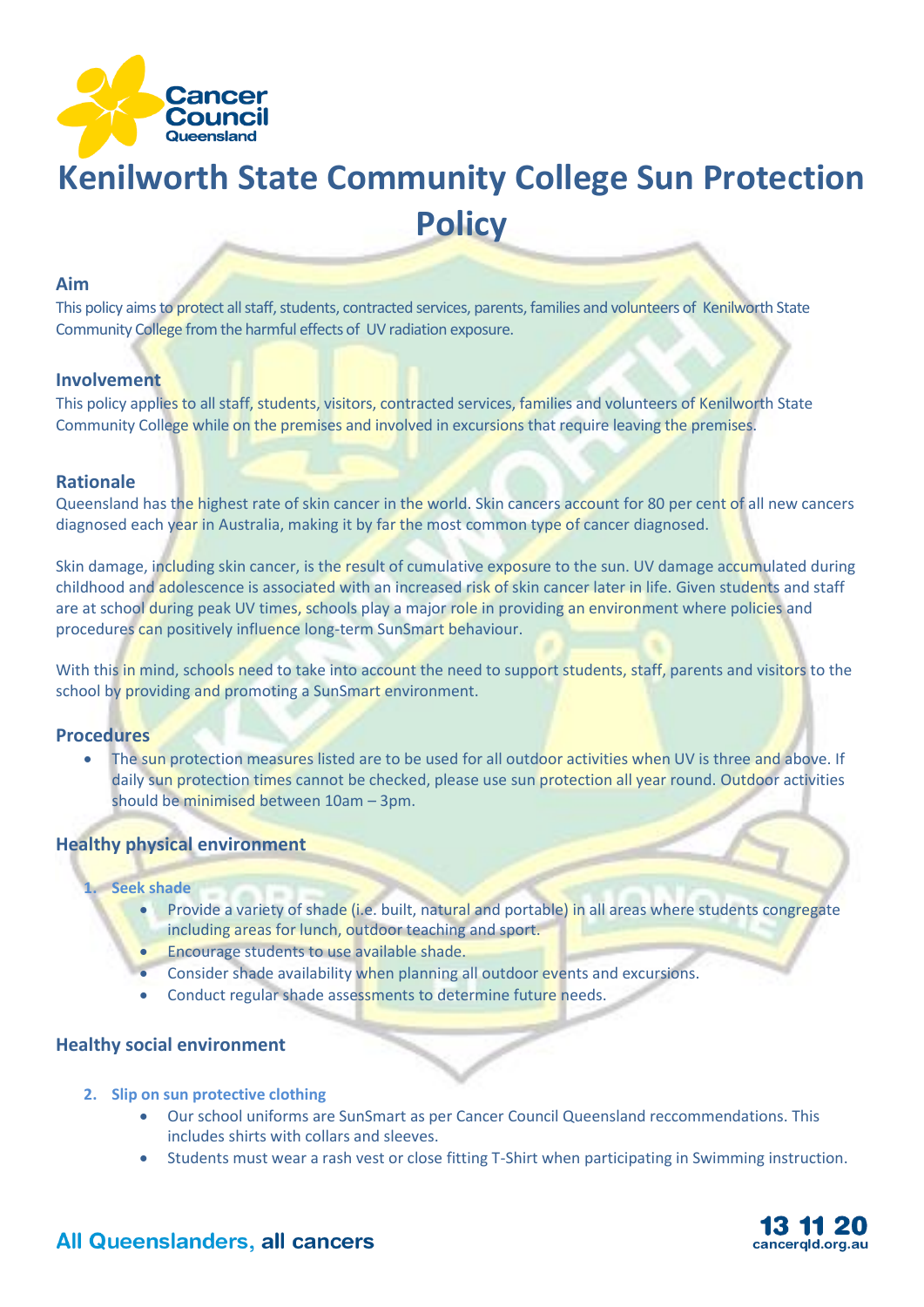

# **Kenilworth State Community College Sun Protection Policy**

#### **Aim**

This policy aims to protect all staff, students, contracted services, parents, families and volunteers of Kenilworth State Community College from the harmful effects of UV radiation exposure.

#### **Involvement**

This policy applies to all staff, students, visitors, contracted services, families and volunteers of Kenilworth State Community College while on the premises and involved in excursions that require leaving the premises.

#### **Rationale**

Queensland has the highest rate of skin cancer in the world. Skin cancers account for 80 per cent of all new cancers diagnosed each year in Australia, making it by far the most common type of cancer diagnosed.

Skin damage, including skin cancer, is the result of cumulative exposure to the sun. UV damage accumulated during childhood and adolescence is associated with an increased risk of skin cancer later in life. Given students and staff are at school during peak UV times, schools play a major role in providing an environment where policies and procedures can positively influence long-term SunSmart behaviour.

With this in mind, schools need to take into account the need to support students, staff, parents and visitors to the school by providing and promoting a SunSmart environment.

#### **Procedures**

• The sun protection measures listed are to be used for all outdoor activities when UV is three and above. If daily sun protection times cannot be checked, please use sun protection all year round. Outdoor activities should be minimised between 10am – 3pm.

#### **Healthy physical environment**

#### **1. Seek shade**

- Provide a variety of shade (i.e. built, natural and portable) in all areas where students congregate including areas for lunch, outdoor teaching and sport.
- Encourage students to use available shade.
- Consider shade availability when planning all outdoor events and excursions.
- Conduct regular shade assessments to determine future needs.

#### **Healthy social environment**

- **2. Slip on sun protective clothing**
	- Our school uniforms are SunSmart as per Cancer Council Queensland reccommendations. This includes shirts with collars and sleeves.
	- Students must wear a rash vest or close fitting T-Shirt when participating in Swimming instruction.



## All Queenslanders, all cancers